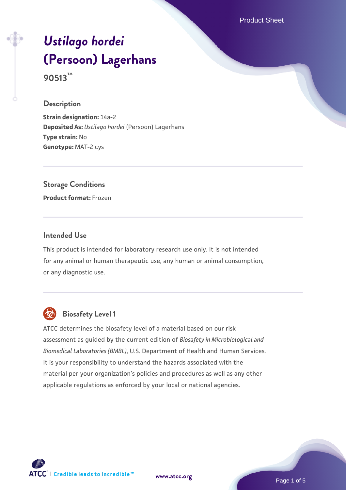Product Sheet

# *[Ustilago hordei](https://www.atcc.org/products/90513)* **[\(Persoon\) Lagerhans](https://www.atcc.org/products/90513) 90513™**

**Description**

**Strain designation:** 14a-2 **Deposited As:** *Ustilago hordei* (Persoon) Lagerhans **Type strain:** No **Genotype:** MAT-2 cys

**Storage Conditions**

**Product format:** Frozen

#### **Intended Use**

This product is intended for laboratory research use only. It is not intended for any animal or human therapeutic use, any human or animal consumption, or any diagnostic use.



# **Biosafety Level 1**

ATCC determines the biosafety level of a material based on our risk assessment as guided by the current edition of *Biosafety in Microbiological and Biomedical Laboratories (BMBL)*, U.S. Department of Health and Human Services. It is your responsibility to understand the hazards associated with the material per your organization's policies and procedures as well as any other applicable regulations as enforced by your local or national agencies.



**[www.atcc.org](http://www.atcc.org)**

Page 1 of 5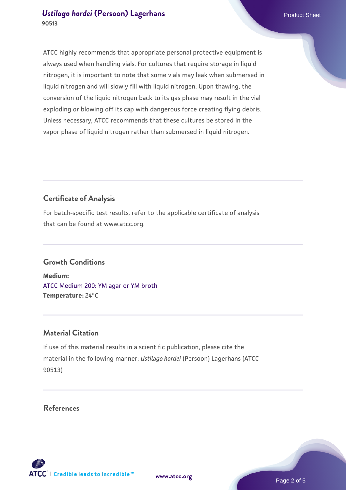ATCC highly recommends that appropriate personal protective equipment is always used when handling vials. For cultures that require storage in liquid nitrogen, it is important to note that some vials may leak when submersed in liquid nitrogen and will slowly fill with liquid nitrogen. Upon thawing, the conversion of the liquid nitrogen back to its gas phase may result in the vial exploding or blowing off its cap with dangerous force creating flying debris. Unless necessary, ATCC recommends that these cultures be stored in the vapor phase of liquid nitrogen rather than submersed in liquid nitrogen.

# **Certificate of Analysis**

For batch-specific test results, refer to the applicable certificate of analysis that can be found at www.atcc.org.

## **Growth Conditions**

**Medium:**  [ATCC Medium 200: YM agar or YM broth](https://www.atcc.org/-/media/product-assets/documents/microbial-media-formulations/2/0/0/atcc-medium-200.pdf?rev=ac40fd74dc13433a809367b0b9da30fc) **Temperature:** 24°C

## **Material Citation**

If use of this material results in a scientific publication, please cite the material in the following manner: *Ustilago hordei* (Persoon) Lagerhans (ATCC 90513)

**References**



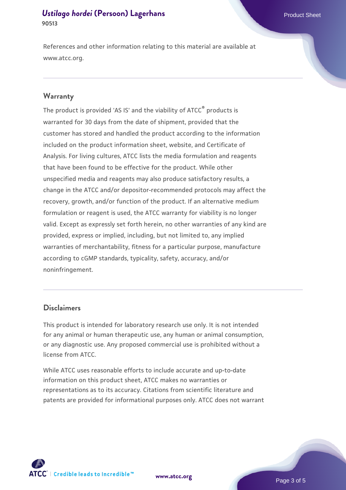References and other information relating to this material are available at www.atcc.org.

#### **Warranty**

The product is provided 'AS IS' and the viability of ATCC® products is warranted for 30 days from the date of shipment, provided that the customer has stored and handled the product according to the information included on the product information sheet, website, and Certificate of Analysis. For living cultures, ATCC lists the media formulation and reagents that have been found to be effective for the product. While other unspecified media and reagents may also produce satisfactory results, a change in the ATCC and/or depositor-recommended protocols may affect the recovery, growth, and/or function of the product. If an alternative medium formulation or reagent is used, the ATCC warranty for viability is no longer valid. Except as expressly set forth herein, no other warranties of any kind are provided, express or implied, including, but not limited to, any implied warranties of merchantability, fitness for a particular purpose, manufacture according to cGMP standards, typicality, safety, accuracy, and/or noninfringement.

#### **Disclaimers**

This product is intended for laboratory research use only. It is not intended for any animal or human therapeutic use, any human or animal consumption, or any diagnostic use. Any proposed commercial use is prohibited without a license from ATCC.

While ATCC uses reasonable efforts to include accurate and up-to-date information on this product sheet, ATCC makes no warranties or representations as to its accuracy. Citations from scientific literature and patents are provided for informational purposes only. ATCC does not warrant





Page 3 of 5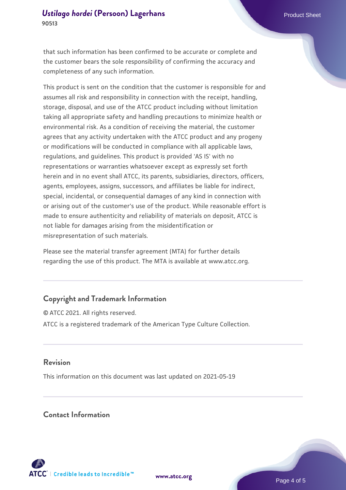that such information has been confirmed to be accurate or complete and the customer bears the sole responsibility of confirming the accuracy and completeness of any such information.

This product is sent on the condition that the customer is responsible for and assumes all risk and responsibility in connection with the receipt, handling, storage, disposal, and use of the ATCC product including without limitation taking all appropriate safety and handling precautions to minimize health or environmental risk. As a condition of receiving the material, the customer agrees that any activity undertaken with the ATCC product and any progeny or modifications will be conducted in compliance with all applicable laws, regulations, and guidelines. This product is provided 'AS IS' with no representations or warranties whatsoever except as expressly set forth herein and in no event shall ATCC, its parents, subsidiaries, directors, officers, agents, employees, assigns, successors, and affiliates be liable for indirect, special, incidental, or consequential damages of any kind in connection with or arising out of the customer's use of the product. While reasonable effort is made to ensure authenticity and reliability of materials on deposit, ATCC is not liable for damages arising from the misidentification or misrepresentation of such materials.

Please see the material transfer agreement (MTA) for further details regarding the use of this product. The MTA is available at www.atcc.org.

# **Copyright and Trademark Information**

© ATCC 2021. All rights reserved. ATCC is a registered trademark of the American Type Culture Collection.

#### **Revision**

This information on this document was last updated on 2021-05-19

#### **Contact Information**



**[www.atcc.org](http://www.atcc.org)**

Page 4 of 5